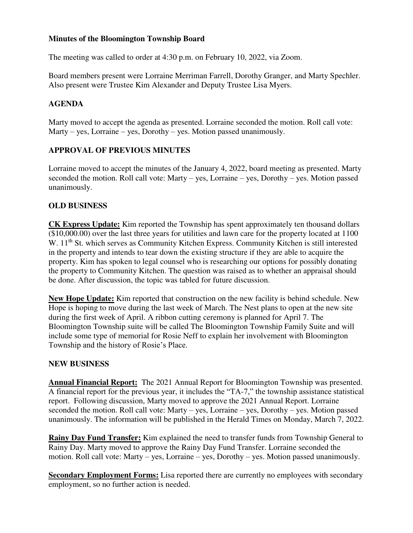#### **Minutes of the Bloomington Township Board**

The meeting was called to order at 4:30 p.m. on February 10, 2022, via Zoom.

Board members present were Lorraine Merriman Farrell, Dorothy Granger, and Marty Spechler. Also present were Trustee Kim Alexander and Deputy Trustee Lisa Myers.

### **AGENDA**

Marty moved to accept the agenda as presented. Lorraine seconded the motion. Roll call vote: Marty – yes, Lorraine – yes, Dorothy – yes. Motion passed unanimously.

# **APPROVAL OF PREVIOUS MINUTES**

Lorraine moved to accept the minutes of the January 4, 2022, board meeting as presented. Marty seconded the motion. Roll call vote: Marty – yes, Lorraine – yes, Dorothy – yes. Motion passed unanimously.

#### **OLD BUSINESS**

**CK Express Update:** Kim reported the Township has spent approximately ten thousand dollars (\$10,000.00) over the last three years for utilities and lawn care for the property located at 1100 W. 11<sup>th</sup> St. which serves as Community Kitchen Express. Community Kitchen is still interested in the property and intends to tear down the existing structure if they are able to acquire the property. Kim has spoken to legal counsel who is researching our options for possibly donating the property to Community Kitchen. The question was raised as to whether an appraisal should be done. After discussion, the topic was tabled for future discussion.

**New Hope Update:** Kim reported that construction on the new facility is behind schedule. New Hope is hoping to move during the last week of March. The Nest plans to open at the new site during the first week of April. A ribbon cutting ceremony is planned for April 7. The Bloomington Township suite will be called The Bloomington Township Family Suite and will include some type of memorial for Rosie Neff to explain her involvement with Bloomington Township and the history of Rosie's Place.

#### **NEW BUSINESS**

**Annual Financial Report:** The 2021 Annual Report for Bloomington Township was presented. A financial report for the previous year, it includes the "TA-7," the township assistance statistical report. Following discussion, Marty moved to approve the 2021 Annual Report. Lorraine seconded the motion. Roll call vote: Marty – yes, Lorraine – yes, Dorothy – yes. Motion passed unanimously. The information will be published in the Herald Times on Monday, March 7, 2022.

**Rainy Day Fund Transfer:** Kim explained the need to transfer funds from Township General to Rainy Day. Marty moved to approve the Rainy Day Fund Transfer. Lorraine seconded the motion. Roll call vote: Marty – yes, Lorraine – yes, Dorothy – yes. Motion passed unanimously.

**Secondary Employment Forms:** Lisa reported there are currently no employees with secondary employment, so no further action is needed.